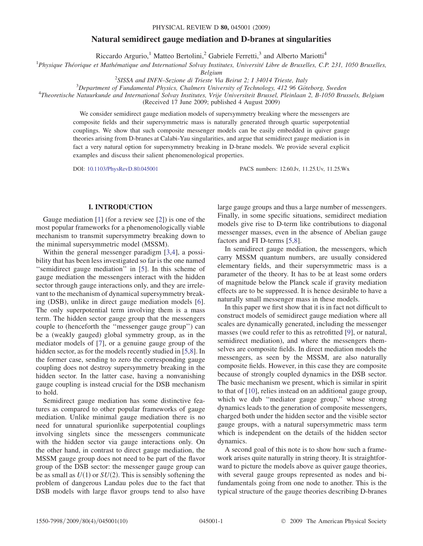# Natural semidirect gauge mediation and D-branes at singularities

Riccardo Argurio,<sup>1</sup> Matteo Bertolini,<sup>2</sup> Gabriele Ferretti,<sup>3</sup> and Alberto Mariotti<sup>4</sup>

 $1$ Physique Théorique et Mathématique and International Solvay Institutes, Université Libre de Bruxelles, C.P. 231, 1050 Bruxelles,

Belgium<br><sup>2</sup>SISSA and INEN Sezione di Trieste Vic <sup>2</sup>SISSA and INFN–Sezione di Trieste Via Beirut 2; I 34014 Trieste, Italy<sup>3</sup>Department of Eundamental Physics, Chalmars University of Technology 412.06 Göt

 ${}^{3}$ Department of Fundamental Physics, Chalmers University of Technology, 412 96 Göteborg, Sweden

<sup>4</sup>Theoretische Natuurkunde and International Solvay Institutes, Vrije Universiteit Brussel, Pleinlaan 2, B-1050 Brussels, Belgium

(Received 17 June 2009; published 4 August 2009)

We consider semidirect gauge mediation models of supersymmetry breaking where the messengers are composite fields and their supersymmetric mass is naturally generated through quartic superpotential couplings. We show that such composite messenger models can be easily embedded in quiver gauge theories arising from D-branes at Calabi-Yau singularities, and argue that semidirect gauge mediation is in fact a very natural option for supersymmetry breaking in D-brane models. We provide several explicit examples and discuss their salient phenomenological properties.

DOI: [10.1103/PhysRevD.80.045001](http://dx.doi.org/10.1103/PhysRevD.80.045001) PACS numbers: 12.60.Jv, 11.25.Uv, 11.25.Wx

# I. INTRODUCTION

Gauge mediation [\[1](#page-8-0)] (for a review see [[2\]](#page-8-1)) is one of the most popular frameworks for a phenomenologically viable mechanism to transmit supersymmetry breaking down to the minimal supersymmetric model (MSSM).

Within the general messenger paradigm [[3](#page-8-2),[4\]](#page-8-3), a possibility that has been less investigated so far is the one named "semidirect gauge mediation" in [\[5](#page-8-4)]. In this scheme of gauge mediation the messengers interact with the hidden sector through gauge interactions only, and they are irrelevant to the mechanism of dynamical supersymmetry breaking (DSB), unlike in direct gauge mediation models [[6\]](#page-8-5). The only superpotential term involving them is a mass term. The hidden sector gauge group that the messengers couple to (henceforth the ''messenger gauge group'') can be a (weakly gauged) global symmetry group, as in the mediator models of [[7\]](#page-8-6), or a genuine gauge group of the hidden sector, as for the models recently studied in [[5](#page-8-4),[8](#page-8-7)]. In the former case, sending to zero the corresponding gauge coupling does not destroy supersymmetry breaking in the hidden sector. In the latter case, having a nonvanishing gauge coupling is instead crucial for the DSB mechanism to hold.

Semidirect gauge mediation has some distinctive features as compared to other popular frameworks of gauge mediation. Unlike minimal gauge mediation there is no need for unnatural spurionlike superpotential couplings involving singlets since the messengers communicate with the hidden sector via gauge interactions only. On the other hand, in contrast to direct gauge mediation, the MSSM gauge group does not need to be part of the flavor group of the DSB sector: the messenger gauge group can be as small as  $U(1)$  or  $SU(2)$ . This is sensibly softening the problem of dangerous Landau poles due to the fact that DSB models with large flavor groups tend to also have

large gauge groups and thus a large number of messengers. Finally, in some specific situations, semidirect mediation models give rise to D-term like contributions to diagonal messenger masses, even in the absence of Abelian gauge factors and FI D-terms [[5](#page-8-4),[8\]](#page-8-7).

In semidirect gauge mediation, the messengers, which carry MSSM quantum numbers, are usually considered elementary fields, and their supersymmetric mass is a parameter of the theory. It has to be at least some orders of magnitude below the Planck scale if gravity mediation effects are to be suppressed. It is hence desirable to have a naturally small messenger mass in these models.

In this paper we first show that it is in fact not difficult to construct models of semidirect gauge mediation where all scales are dynamically generated, including the messenger masses (we could refer to this as retrofitted [[9\]](#page-8-8), or natural, semidirect mediation), and where the messengers themselves are composite fields. In direct mediation models the messengers, as seen by the MSSM, are also naturally composite fields. However, in this case they are composite because of strongly coupled dynamics in the DSB sector. The basic mechanism we present, which is similar in spirit to that of [[10](#page-8-9)], relies instead on an additional gauge group, which we dub "mediator gauge group," whose strong dynamics leads to the generation of composite messengers, charged both under the hidden sector and the visible sector gauge groups, with a natural supersymmetric mass term which is independent on the details of the hidden sector dynamics.

A second goal of this note is to show how such a framework arises quite naturally in string theory. It is straightforward to picture the models above as quiver gauge theories, with several gauge groups represented as nodes and bifundamentals going from one node to another. This is the typical structure of the gauge theories describing D-branes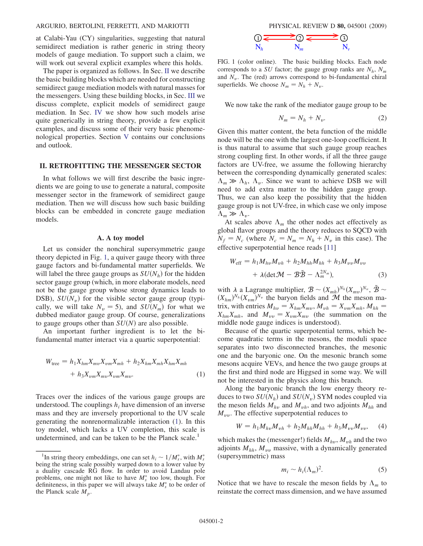#### ARGURIO, BERTOLINI, FERRETTI, AND MARIOTTI PHYSICAL REVIEW D 80, 045001 (2009)

at Calabi-Yau (CY) singularities, suggesting that natural semidirect mediation is rather generic in string theory models of gauge mediation. To support such a claim, we will work out several explicit examples where this holds.

The paper is organized as follows. In Sec. II we describe the basic building blocks which are needed for constructing semidirect gauge mediation models with natural masses for the messengers. Using these building blocks, in Sec. III we discuss complete, explicit models of semidirect gauge mediation. In Sec. IV we show how such models arise quite generically in string theory, provide a few explicit examples, and discuss some of their very basic phenomenological properties. Section V contains our conclusions and outlook.

## II. RETROFITTING THE MESSENGER SECTOR

In what follows we will first describe the basic ingredients we are going to use to generate a natural, composite messenger sector in the framework of semidirect gauge mediation. Then we will discuss how such basic building blocks can be embedded in concrete gauge mediation models.

#### A. A toy model

Let us consider the nonchiral supersymmetric gauge theory depicted in Fig. [1](#page-1-0), a quiver gauge theory with three gauge factors and bi-fundamental matter superfields. We will label the three gauge groups as  $SU(N_h)$  for the hidden sector gauge group (which, in more elaborate models, need not be the gauge group whose strong dynamics leads to DSB),  $SU(N_v)$  for the visible sector gauge group (typically, we will take  $N_v = 5$ ), and  $SU(N_m)$  for what we dubbed mediator gauge group. Of course, generalizations to gauge groups other than  $SU(N)$  are also possible.

<span id="page-1-1"></span>An important further ingredient is to let the bifundamental matter interact via a quartic superpotential:

$$
W_{\text{tree}} = h_1 X_{hm} X_{mv} X_{vm} X_{mh} + h_2 X_{hm} X_{mh} X_{hm} X_{mh}
$$

$$
+ h_3 X_{vm} X_{mv} X_{vm} X_{mv}.
$$
 (1)

Traces over the indices of the various gauge groups are understood. The couplings  $h_i$  have dimension of an inverse mass and they are inversely proportional to the UV scale generating the nonrenormalizable interaction [\(1\)](#page-1-1). In this toy model, which lacks a UV completion, this scale is undetermined, and can be taken to be the Planck scale. $<sup>1</sup>$ </sup>



<span id="page-1-0"></span>FIG. 1 (color online). The basic building blocks. Each node corresponds to a SU factor; the gauge group ranks are  $N_h$ ,  $N_m$ and  $N_v$ . The (red) arrows correspond to bi-fundamental chiral superfields. We choose  $N_m = N_h + N_v$ .

We now take the rank of the mediator gauge group to be

$$
N_m = N_h + N_v. \tag{2}
$$

Given this matter content, the beta function of the middle node will be the one with the largest one-loop coefficient. It is thus natural to assume that such gauge group reaches strong coupling first. In other words, if all the three gauge factors are UV-free, we assume the following hierarchy between the corresponding dynamically generated scales:  $\Lambda_m \gg \Lambda_h$ ,  $\Lambda_v$ . Since we want to achieve DSB we will need to add extra matter to the hidden gauge group. Thus, we can also keep the possibility that the hidden gauge group is not UV-free, in which case we only impose  $\Lambda_m \gg \Lambda_{\nu}$ .

At scales above  $\Lambda_m$  the other nodes act effectively as global flavor groups and the theory reduces to SQCD with  $N_f = N_c$  (where  $N_c = N_m = N_h + N_v$  in this case). The effective superpotential hence reads [[11](#page-8-10)]

$$
W_{\text{eff}} = h_1 M_{hv} M_{vh} + h_2 M_{hh} M_{hh} + h_3 M_{vv} M_{vv}
$$
  
+  $\lambda (\det \mathcal{M} - \mathcal{B} \tilde{\mathcal{B}} - \Lambda_m^{2N_m}),$  (3)

with  $\lambda$  a Lagrange multiplier,  $\mathcal{B} \sim (X_{mh})^{N_h} (X_{mv})^{N_v}$ ,  $\tilde{\mathcal{B}} \sim$  $(X_{hm})^{N_h}(X_{vm})^{N_v}$  the baryon fields and M the meson matrix, with entries  $M_{hv} = X_{hm}X_{mv}$ ,  $M_{vh} = X_{vm}X_{mh}$ ,  $M_{hh} =$  $X_{hm}X_{mh}$ , and  $M_{vv} = X_{vm}X_{mv}$  (the summation on the middle node gauge indices is understood).

Because of the quartic superpotential terms, which become quadratic terms in the mesons, the moduli space separates into two disconnected branches, the mesonic one and the baryonic one. On the mesonic branch some mesons acquire VEVs, and hence the two gauge groups at the first and third node are Higgsed in some way. We will not be interested in the physics along this branch.

Along the baryonic branch the low energy theory reduces to two  $SU(N_h)$  and  $SU(N_v)$  SYM nodes coupled via the meson fields  $M_{hv}$  and  $M_{vh}$ , and two adjoints  $M_{hh}$  and  $M_{yy}$ . The effective superpotential reduces to

$$
W = h_1 M_{hv} M_{vh} + h_2 M_{hh} M_{hh} + h_3 M_{vv} M_{vv}, \quad (4)
$$

which makes the (messenger!) fields  $M_{hv}$ ,  $M_{vh}$  and the two adjoints  $M_{hh}$ ,  $M_{vv}$  massive, with a dynamically generated (supersymmetric) mass

$$
m_i \sim h_i(\Lambda_m)^2. \tag{5}
$$

Notice that we have to rescale the meson fields by  $\Lambda_m$  to reinstate the correct mass dimension, and we have assumed

<sup>&</sup>lt;sup>1</sup>In string theory embeddings, one can set  $h_i \sim 1/M_s^*$ , with  $M_s^*$ being the string scale possibly warped down to a lower value by a duality cascade RG flow. In order to avoid Landau pole problems, one might not like to have  $M_s^*$  too low, though. For definiteness, in this paper we will always take  $M_s^*$  to be order of the Planck scale  $M_p$ .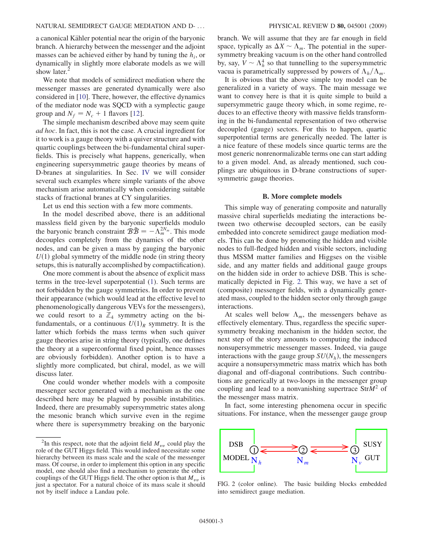a canonical Kähler potential near the origin of the baryonic branch. A hierarchy between the messenger and the adjoint masses can be achieved either by hand by tuning the  $h_i$ , or dynamically in slightly more elaborate models as we will show later.<sup>2</sup>

We note that models of semidirect mediation where the messenger masses are generated dynamically were also considered in [[10](#page-8-9)]. There, however, the effective dynamics of the mediator node was SQCD with a symplectic gauge group and  $N_f = N_c + 1$  flavors [\[12\]](#page-8-11).

The simple mechanism described above may seem quite ad hoc. In fact, this is not the case. A crucial ingredient for it to work is a gauge theory with a quiver structure and with quartic couplings between the bi-fundamental chiral superfields. This is precisely what happens, generically, when engineering supersymmetric gauge theories by means of D-branes at singularities. In Sec. IV we will consider several such examples where simple variants of the above mechanism arise automatically when considering suitable stacks of fractional branes at CY singularities.

Let us end this section with a few more comments.

In the model described above, there is an additional massless field given by the baryonic superfields modulo the baryonic branch constraint  $\mathcal{B}\tilde{\mathcal{B}} = -\Lambda_m^{2N_m}$ . This mode decouples completely from the dynamics of the other nodes, and can be given a mass by gauging the baryonic  $U(1)$  global symmetry of the middle node (in string theory setups, this is naturally accomplished by compactification).

One more comment is about the absence of explicit mass terms in the tree-level superpotential [\(1\)](#page-1-1). Such terms are not forbidden by the gauge symmetries. In order to prevent their appearance (which would lead at the effective level to phenomenologically dangerous VEVs for the messengers), we could resort to a  $\mathbb{Z}_4$  symmetry acting on the bifundamentals, or a continuous  $U(1)<sub>R</sub>$  symmetry. It is the latter which forbids the mass terms when such quiver gauge theories arise in string theory (typically, one defines the theory at a superconformal fixed point, hence masses are obviously forbidden). Another option is to have a slightly more complicated, but chiral, model, as we will discuss later.

One could wonder whether models with a composite messenger sector generated with a mechanism as the one described here may be plagued by possible instabilities. Indeed, there are presumably supersymmetric states along the mesonic branch which survive even in the regime where there is supersymmetry breaking on the baryonic branch. We will assume that they are far enough in field space, typically as  $\Delta X \sim \Lambda_m$ . The potential in the supersymmetry breaking vacuum is on the other hand controlled by, say,  $V \sim \Lambda_h^4$  so that tunnelling to the supersymmetric vacua is parametrically suppressed by powers of  $\Lambda_h/\Lambda_m$ .

It is obvious that the above simple toy model can be generalized in a variety of ways. The main message we want to convey here is that it is quite simple to build a supersymmetric gauge theory which, in some regime, reduces to an effective theory with massive fields transforming in the bi-fundamental representation of two otherwise decoupled (gauge) sectors. For this to happen, quartic superpotential terms are generically needed. The latter is a nice feature of these models since quartic terms are the most generic nonrenormalizable terms one can start adding to a given model. And, as already mentioned, such couplings are ubiquitous in D-brane constructions of supersymmetric gauge theories.

## B. More complete models

This simple way of generating composite and naturally massive chiral superfields mediating the interactions between two otherwise decoupled sectors, can be easily embedded into concrete semidirect gauge mediation models. This can be done by promoting the hidden and visible nodes to full-fledged hidden and visible sectors, including thus MSSM matter families and Higgses on the visible side, and any matter fields and additional gauge groups on the hidden side in order to achieve DSB. This is schematically depicted in Fig. [2.](#page-2-0) This way, we have a set of (composite) messenger fields, with a dynamically generated mass, coupled to the hidden sector only through gauge interactions.

At scales well below  $\Lambda_m$ , the messengers behave as effectively elementary. Thus, regardless the specific supersymmetry breaking mechanism in the hidden sector, the next step of the story amounts to computing the induced nonsupersymmetric messenger masses. Indeed, via gauge interactions with the gauge group  $SU(N_h)$ , the messengers acquire a nonsupersymmetric mass matrix which has both diagonal and off-diagonal contributions. Such contributions are generically at two-loops in the messenger group coupling and lead to a nonvanishing supertrace  $Str M<sup>2</sup>$  of the messenger mass matrix.

In fact, some interesting phenomena occur in specific situations. For instance, when the messenger gauge group

<span id="page-2-0"></span>

FIG. 2 (color online). The basic building blocks embedded into semidirect gauge mediation.

<sup>&</sup>lt;sup>2</sup>In this respect, note that the adjoint field  $M_{vv}$  could play the role of the GUT Higgs field. This would indeed necessitate some hierarchy between its mass scale and the scale of the messenger mass. Of course, in order to implement this option in any specific model, one should also find a mechanism to generate the other couplings of the GUT Higgs field. The other option is that  $M_{vv}$  is just a spectator. For a natural choice of its mass scale it should not by itself induce a Landau pole.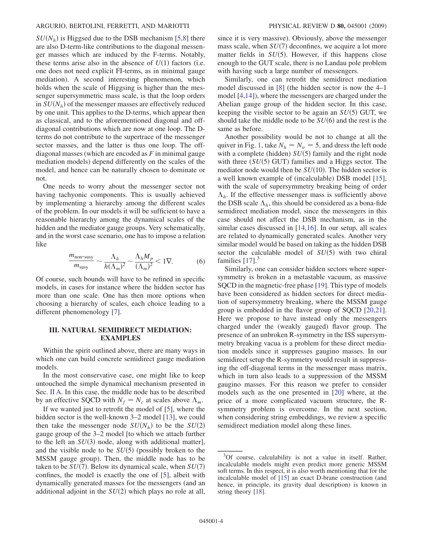$SU(N_h)$  is Higgsed due to the DSB mechanism [[5,](#page-8-4)[8\]](#page-8-7) there are also D-term-like contributions to the diagonal messenger masses which are induced by the F-terms. Notably, these terms arise also in the absence of  $U(1)$  factors (i.e. one does not need explicit FI-terms, as in minimal gauge mediation). A second interesting phenomenon, which holds when the scale of Higgsing is higher than the messenger supersymmetric mass scale, is that the loop orders in  $SU(N_h)$  of the messenger masses are effectively reduced by one unit. This applies to the D-terms, which appear then as classical, and to the aforementioned diagonal and offdiagonal contributions which are now at one loop. The Dterms do not contribute to the supertrace of the messenger sector masses, and the latter is thus one loop. The offdiagonal masses (which are encoded as  $F$  in minimal gauge mediation models) depend differently on the scales of the model, and hence can be naturally chosen to dominate or not.

One needs to worry about the messenger sector not having tachyonic components. This is usually achieved by implementing a hierarchy among the different scales of the problem. In our models it will be sufficient to have a reasonable hierarchy among the dynamical scales of the hidden and the mediator gauge groups. Very schematically, and in the worst case scenario, one has to impose a relation like

$$
\frac{m_{\text{non-susy}}}{m_{\text{susy}}} \sim \frac{\Lambda_h}{h(\Lambda_m)^2} \sim \frac{\Lambda_h M_p}{(\Lambda_m)^2} < 1\nabla. \tag{6}
$$

Of course, such bounds will have to be refined in specific models, in cases for instance where the hidden sector has more than one scale. One has then more options when choosing a hierarchy of scales, each choice leading to a different phenomenology [[7](#page-8-6)].

# III. NATURAL SEMIDIRECT MEDIATION: EXAMPLES

Within the spirit outlined above, there are many ways in which one can build concrete semidirect gauge mediation models.

In the most conservative case, one might like to keep untouched the simple dynamical mechanism presented in Sec. II A. In this case, the middle node has to be described by an effective SQCD with  $N_f = N_c$  at scales above  $\Lambda_m$ .

If we wanted just to retrofit the model of [\[5\]](#page-8-4), where the hidden sector is the well-known 3–2 model [[13\]](#page-8-12), we could then take the messenger node  $SU(N_h)$  to be the  $SU(2)$ gauge group of the 3–2 model [to which we attach further to the left an  $SU(3)$  node, along with additional matter], and the visible node to be  $SU(5)$  (possibly broken to the MSSM gauge group). Then, the middle node has to be taken to be  $SU(7)$ . Below its dynamical scale, when  $SU(7)$ confines, the model is exactly the one of [\[5](#page-8-4)], albeit with dynamically generated masses for the messengers (and an additional adjoint in the  $SU(2)$  which plays no role at all, since it is very massive). Obviously, above the messenger mass scale, when  $SU(7)$  deconfines, we acquire a lot more matter fields in  $SU(5)$ . However, if this happens close enough to the GUT scale, there is no Landau pole problem with having such a large number of messengers.

Similarly, one can retrofit the semidirect mediation model discussed in [\[8\]](#page-8-7) (the hidden sector is now the 4–1 model [[4](#page-8-3),[14](#page-8-13)]), where the messengers are charged under the Abelian gauge group of the hidden sector. In this case, keeping the visible sector to be again an  $SU(5)$  GUT, we should take the middle node to be  $SU(6)$  and the rest is the same as before.

Another possibility would be not to change at all the quiver in Fig. [1](#page-1-0), take  $N_h = N_v = 5$ , and dress the left node with a complete (hidden)  $SU(5)$  family and the right node with three  $(SU(5)$  GUT) families and a Higgs sector. The mediator node would then be  $SU(10)$ . The hidden sector is a well known example of (incalculable) DSB model [[15\]](#page-8-14), with the scale of supersymmetry breaking being of order  $\Lambda_h$ . If the effective messenger mass is sufficiently above the DSB scale  $\Lambda_h$ , this should be considered as a bona-fide semidirect mediation model, since the messengers in this case should not affect the DSB mechanism, as in the similar cases discussed in [\[14,](#page-8-13)[16\]](#page-8-15). In our setup, all scales are related to dynamically generated scales. Another very similar model would be based on taking as the hidden DSB sector the calculable model of  $SU(5)$  with two chiral families  $[17]<sup>3</sup>$  $[17]<sup>3</sup>$ 

Similarly, one can consider hidden sectors where supersymmetry is broken in a metastable vacuum, as massive SQCD in the magnetic-free phase [[19](#page-8-17)]. This type of models have been considered as hidden sectors for direct mediation of supersymmetry breaking, where the MSSM gauge group is embedded in the flavor group of SQCD [\[20,](#page-8-18)[21\]](#page-8-19). Here we propose to have instead only the messengers charged under the (weakly gauged) flavor group. The presence of an unbroken R-symmetry in the ISS supersymmetry breaking vacua is a problem for these direct mediation models since it suppresses gaugino masses. In our semidirect setup the R-symmetry would result in suppressing the off-diagonal terms in the messenger mass matrix, which in turn also leads to a suppression of the MSSM gaugino masses. For this reason we prefer to consider models such as the one presented in [\[20\]](#page-8-18) where, at the price of a more complicated vacuum structure, the Rsymmetry problem is overcome. In the next section, when considering string embeddings, we review a specific semidirect mediation model along these lines.

<sup>&</sup>lt;sup>3</sup>Of course, calculability is not a value in itself. Rather, incalculable models might even predict more generic MSSM soft terms. In this respect, it is also worth mentioning that for the incalculable model of [\[15\]](#page-8-14) an exact D-brane construction (and hence, in principle, its gravity dual description) is known in string theory [\[18\]](#page-8-20).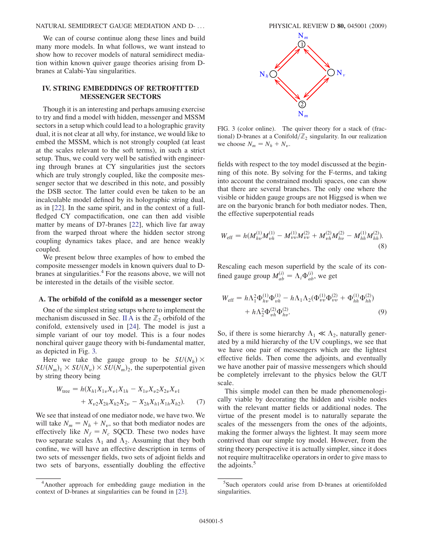### NATURAL SEMIDIRECT GAUGE MEDIATION AND D- ... PHYSICAL REVIEW D 80, 045001 (2009)

We can of course continue along these lines and build many more models. In what follows, we want instead to show how to recover models of natural semidirect mediation within known quiver gauge theories arising from Dbranes at Calabi-Yau singularities.

# IV. STRING EMBEDDINGS OF RETROFITTED MESSENGER SECTORS

Though it is an interesting and perhaps amusing exercise to try and find a model with hidden, messenger and MSSM sectors in a setup which could lead to a holographic gravity dual, it is not clear at all why, for instance, we would like to embed the MSSM, which is not strongly coupled (at least at the scales relevant to the soft terms), in such a strict setup. Thus, we could very well be satisfied with engineering through branes at CY singularities just the sectors which are truly strongly coupled, like the composite messenger sector that we described in this note, and possibly the DSB sector. The latter could even be taken to be an incalculable model defined by its holographic string dual, as in [[22](#page-8-21)]. In the same spirit, and in the context of a fullfledged CY compactification, one can then add visible matter by means of D7-branes [[22](#page-8-21)], which live far away from the warped throat where the hidden sector strong coupling dynamics takes place, and are hence weakly coupled.

We present below three examples of how to embed the composite messenger models in known quivers dual to Dbranes at singularities. $4$  For the reasons above, we will not be interested in the details of the visible sector.

# A. The orbifold of the conifold as a messenger sector

One of the simplest string setups where to implement the mechanism discussed in Sec. II A is the  $\mathbb{Z}_2$  orbifold of the conifold, extensively used in [[24](#page-8-22)]. The model is just a simple variant of our toy model. This is a four nodes nonchiral quiver gauge theory with bi-fundamental matter, as depicted in Fig. [3.](#page-4-0)

Here we take the gauge group to be  $SU(N_h) \times$  $SU(N_m)_1 \times SU(N_v) \times SU(N_m)_2$ , the superpotential given by string theory being

$$
W_{\text{tree}} = h(X_{h1}X_{1v}X_{v1}X_{1h} - X_{1v}X_{v2}X_{2v}X_{v1} + X_{v2}X_{2h}X_{h2}X_{2v} - X_{2h}X_{h1}X_{1h}X_{h2}).
$$
 (7)

We see that instead of one mediator node, we have two. We will take  $N_m = N_h + N_v$ , so that both mediator nodes are effectively like  $N_f = N_c$  SQCD. These two nodes have two separate scales  $\Lambda_1$  and  $\Lambda_2$ . Assuming that they both confine, we will have an effective description in terms of two sets of messenger fields, two sets of adjoint fields and two sets of baryons, essentially doubling the effective

<span id="page-4-0"></span>

FIG. 3 (color online). The quiver theory for a stack of (fractional) D-branes at a Conifold $/\mathbb{Z}_2$  singularity. In our realization we choose  $N_m = N_h + N_v$ .

fields with respect to the toy model discussed at the beginning of this note. By solving for the F-terms, and taking into account the constrained moduli spaces, one can show that there are several branches. The only one where the visible or hidden gauge groups are not Higgsed is when we are on the baryonic branch for both mediator nodes. Then, the effective superpotential reads

$$
W_{\rm eff} = h(M_{hv}^{(1)}M_{vh}^{(1)} - M_{vv}^{(1)}M_{vv}^{(2)} + M_{vh}^{(2)}M_{hv}^{(2)} - M_{hh}^{(1)}M_{hh}^{(2)}).
$$
\n(8)

Rescaling each meson superfield by the scale of its confined gauge group  $M_{ab}^{(i)} = \Lambda_i \Phi_{ab}^{(i)}$ , we get

$$
W_{\text{eff}} = h\Lambda_1^2 \Phi_{hv}^{(1)} \Phi_{vh}^{(1)} - h\Lambda_1 \Lambda_2 (\Phi_{vv}^{(1)} \Phi_{vv}^{(2)} + \Phi_{hh}^{(1)} \Phi_{hh}^{(2)}) + h\Lambda_2^2 \Phi_{vh}^{(2)} \Phi_{hv}^{(2)}.
$$
 (9)

So, if there is some hierarchy  $\Lambda_1 \ll \Lambda_2$ , naturally generated by a mild hierarchy of the UV couplings, we see that we have one pair of messengers which are the lightest effective fields. Then come the adjoints, and eventually we have another pair of massive messengers which should be completely irrelevant to the physics below the GUT scale.

This simple model can then be made phenomenologically viable by decorating the hidden and visible nodes with the relevant matter fields or additional nodes. The virtue of the present model is to naturally separate the scales of the messengers from the ones of the adjoints, making the former always the lightest. It may seem more contrived than our simple toy model. However, from the string theory perspective it is actually simpler, since it does not require multitracelike operators in order to give mass to the adjoints.<sup>5</sup>

<sup>4</sup> Another approach for embedding gauge mediation in the context of D-branes at singularities can be found in [[23](#page-8-23)].

<sup>5</sup> Such operators could arise from D-branes at orientifolded singularities.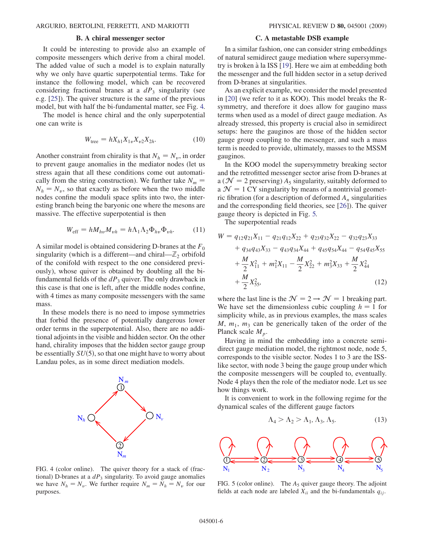## B. A chiral messenger sector

It could be interesting to provide also an example of composite messengers which derive from a chiral model. The added value of such a model is to explain naturally why we only have quartic superpotential terms. Take for instance the following model, which can be recovered considering fractional branes at a  $dP_3$  singularity (see e.g. [\[25\]](#page-8-24)). The quiver structure is the same of the previous model, but with half the bi-fundamental matter, see Fig. [4.](#page-5-0)

The model is hence chiral and the only superpotential one can write is

$$
W_{\text{tree}} = hX_{h1}X_{1v}X_{v2}X_{2h}.
$$
 (10)

Another constraint from chirality is that  $N_h = N_v$ , in order to prevent gauge anomalies in the mediator nodes (let us stress again that all these conditions come out automatically from the string construction). We further take  $N_m =$  $N_h = N_v$ , so that exactly as before when the two middle nodes confine the moduli space splits into two, the interesting branch being the baryonic one where the mesons are massive. The effective superpotential is then

$$
W_{\text{eff}} = hM_{hv}M_{vh} = h\Lambda_1\Lambda_2\Phi_{hv}\Phi_{vh}.
$$
 (11)

A similar model is obtained considering D-branes at the  $F_0$ singularity (which is a different—and chiral— $\mathbb{Z}_2$  orbifold of the conifold with respect to the one considered previously), whose quiver is obtained by doubling all the bifundamental fields of the  $dP_3$  quiver. The only drawback in this case is that one is left, after the middle nodes confine, with 4 times as many composite messengers with the same mass.

In these models there is no need to impose symmetries that forbid the presence of potentially dangerous lower order terms in the superpotential. Also, there are no additional adjoints in the visible and hidden sector. On the other hand, chirality imposes that the hidden sector gauge group be essentially  $SU(5)$ , so that one might have to worry about Landau poles, as in some direct mediation models.

<span id="page-5-0"></span>

FIG. 4 (color online). The quiver theory for a stack of (fractional) D-branes at a  $dP_3$  singularity. To avoid gauge anomalies we have  $N_h = N_v$ . We further require  $N_m = N_h = N_v$  for our purposes.

## C. A metastable DSB example

In a similar fashion, one can consider string embeddings of natural semidirect gauge mediation where supersymmetry is broken a` la ISS [[19](#page-8-17)]. Here we aim at embedding both the messenger and the full hidden sector in a setup derived from D-branes at singularities.

As an explicit example, we consider the model presented in [[20](#page-8-18)] (we refer to it as KOO). This model breaks the Rsymmetry, and therefore it does allow for gaugino mass terms when used as a model of direct gauge mediation. As already stressed, this property is crucial also in semidirect setups: here the gauginos are those of the hidden sector gauge group coupling to the messenger, and such a mass term is needed to provide, ultimately, masses to the MSSM gauginos.

In the KOO model the supersymmetry breaking sector and the retrofitted messenger sector arise from D-branes at a ( $\mathcal{N} = 2$  preserving)  $A_5$  singularity, suitably deformed to a  $\mathcal{N} = 1$  CY singularity by means of a nontrivial geometric fibration (for a description of deformed  $A_n$  singularities and the corresponding field theories, see [\[26\]](#page-9-0)). The quiver gauge theory is depicted in Fig. [5.](#page-5-1)

<span id="page-5-2"></span>The superpotential reads

$$
W = q_{12}q_{21}X_{11} - q_{21}q_{12}X_{22} + q_{23}q_{32}X_{22} - q_{32}q_{23}X_{33}
$$
  
+  $q_{34}q_{43}X_{33} - q_{43}q_{34}X_{44} + q_{45}q_{54}X_{44} - q_{54}q_{45}X_{55}$   
+  $\frac{M}{2}X_{11}^2 + m_1^2X_{11} - \frac{M}{2}X_{22}^2 + m_3^2X_{33} + \frac{M}{2}X_{44}^2$   
+  $\frac{M}{2}X_{55}^2$ , (12)

where the last line is the  $\mathcal{N} = 2 \rightarrow \mathcal{N} = 1$  breaking part. We have set the dimensionless cubic coupling  $h = 1$  for simplicity while, as in previous examples, the mass scales  $M$ ,  $m_1$ ,  $m_3$  can be generically taken of the order of the Planck scale  $M_p$ .

Having in mind the embedding into a concrete semidirect gauge mediation model, the rightmost node, node 5, corresponds to the visible sector. Nodes 1 to 3 are the ISSlike sector, with node 3 being the gauge group under which the composite messengers will be coupled to, eventually. Node 4 plays then the role of the mediator node. Let us see how things work.

<span id="page-5-3"></span>It is convenient to work in the following regime for the dynamical scales of the different gauge factors

$$
\Lambda_4 > \Lambda_2 > \Lambda_1, \Lambda_3, \Lambda_5. \tag{13}
$$

<span id="page-5-1"></span>

FIG. 5 (color online). The  $A_5$  quiver gauge theory. The adjoint fields at each node are labeled  $X_{ii}$  and the bi-fundamentals  $q_{ij}$ .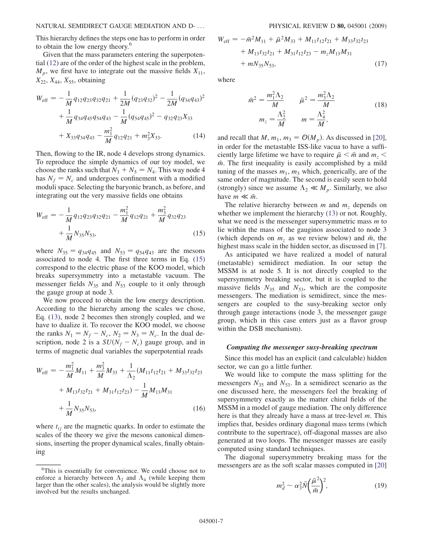This hierarchy defines the steps one has to perform in order to obtain the low energy theory.<sup>6</sup>

Given that the mass parameters entering the superpotential [\(12\)](#page-5-2) are of the order of the highest scale in the problem,  $M_p$ , we first have to integrate out the massive fields  $X_{11}$ ,  $X_{22}$ ,  $X_{44}$ ,  $X_{55}$ , obtaining

$$
W_{\text{eff}} = -\frac{1}{M}q_{12}q_{23}q_{32}q_{21} + \frac{1}{2M}(q_{23}q_{32})^2 - \frac{1}{2M}(q_{34}q_{43})^2
$$

$$
+\frac{1}{M}q_{34}q_{45}q_{54}q_{43} - \frac{1}{M}(q_{54}q_{45})^2 - q_{32}q_{23}X_{33}
$$

$$
+ X_{33}q_{34}q_{43} - \frac{m_1^2}{M}q_{12}q_{21} + m_3^2X_{33}. \tag{14}
$$

Then, flowing to the IR, node 4 develops strong dynamics. To reproduce the simple dynamics of our toy model, we choose the ranks such that  $N_3 + N_5 = N_4$ . This way node 4 has  $N_f = N_c$  and undergoes confinement with a modified moduli space. Selecting the baryonic branch, as before, and integrating out the very massive fields one obtains

<span id="page-6-0"></span>
$$
W_{\text{eff}} = -\frac{1}{M} q_{12} q_{23} q_{32} q_{21} - \frac{m_1^2}{M} q_{12} q_{21} + \frac{m_3^2}{M} q_{32} q_{23} + \frac{1}{M} N_{35} N_{53},
$$
\n(15)

where  $N_{35} = q_{34}q_{45}$  and  $N_{53} = q_{54}q_{43}$  are the mesons associated to node 4. The first three terms in Eq. [\(15\)](#page-6-0) correspond to the electric phase of the KOO model, which breaks supersymmetry into a metastable vacuum. The messenger fields  $N_{35}$  and  $N_{53}$  couple to it only through the gauge group at node 3.

We now proceed to obtain the low energy description. According to the hierarchy among the scales we chose, Eq. [\(13\)](#page-5-3), node 2 becomes then strongly coupled, and we have to dualize it. To recover the KOO model, we choose the ranks  $N_1 = N_f - N_c$ ,  $N_2 = N_3 = N_c$ . In the dual description, node 2 is a  $SU(N_f - N_c)$  gauge group, and in terms of magnetic dual variables the superpotential reads

$$
W_{\text{eff}} = -\frac{m_1^2}{M} M_{11} + \frac{m_3^2}{M} M_{33} + \frac{1}{\Lambda_2} (M_{11} t_{12} t_{21} + M_{33} t_{32} t_{23} + M_{13} t_{32} t_{21} + M_{31} t_{12} t_{23}) - \frac{1}{M} M_{13} M_{31} + \frac{1}{M} N_{35} N_{53},
$$
\n(16)

where  $t_{ij}$  are the magnetic quarks. In order to estimate the scales of the theory we give the mesons canonical dimensions, inserting the proper dynamical scales, finally obtaining

$$
W_{\text{eff}} = -\bar{m}^2 M_{11} + \bar{\mu}^2 M_{33} + M_{11} t_{12} t_{21} + M_{33} t_{32} t_{23} + M_{13} t_{32} t_{21} + M_{31} t_{12} t_{23} - m_z M_{13} M_{31} + m N_{35} N_{53},
$$
 (17)

<span id="page-6-1"></span>where

$$
\bar{m}^{2} = \frac{m_{1}^{2} \Lambda_{2}}{M} \qquad \bar{\mu}^{2} = \frac{m_{3}^{2} \Lambda_{2}}{M}
$$
\n
$$
m_{z} = \frac{\Lambda_{2}^{2}}{M} \qquad m = \frac{\Lambda_{4}^{2}}{M},
$$
\n(18)

and recall that M,  $m_1$ ,  $m_3 = \mathcal{O}(M_p)$ . As discussed in [[20\]](#page-8-18), in order for the metastable ISS-like vacua to have a sufficiently large lifetime we have to require  $\bar{\mu} < \bar{m}$  and  $m_z <$  $\bar{m}$ . The first inequality is easily accomplished by a mild tuning of the masses  $m_1$ ,  $m_3$  which, generically, are of the same order of magnitude. The second is easily seen to hold (strongly) since we assume  $\Lambda_2 \ll M_p$ . Similarly, we also have  $m \ll \bar{m}$ .

The relative hierarchy between  $m$  and  $m<sub>z</sub>$  depends on whether we implement the hierarchy [\(13\)](#page-5-3) or not. Roughly, what we need is the messenger supersymmetric mass m to lie within the mass of the gauginos associated to node 3 (which depends on  $m<sub>z</sub>$  as we review below) and  $\bar{m}$ , the highest mass scale in the hidden sector, as discussed in [[7\]](#page-8-6).

As anticipated we have realized a model of natural (metastable) semidirect mediation. In our setup the MSSM is at node 5. It is not directly coupled to the supersymmetry breaking sector, but it is coupled to the massive fields  $N_{35}$  and  $N_{53}$ , which are the composite messengers. The mediation is semidirect, since the messengers are coupled to the susy-breaking sector only through gauge interactions (node 3, the messenger gauge group, which in this case enters just as a flavor group within the DSB mechanism).

Since this model has an explicit (and calculable) hidden sector, we can go a little further.

We would like to compute the mass splitting for the messengers  $N_{35}$  and  $N_{53}$ . In a semidirect scenario as the one discussed here, the messengers feel the breaking of supersymmetry exactly as the matter chiral fields of the MSSM in a model of gauge mediation. The only difference here is that they already have a mass at tree-level m. This implies that, besides ordinary diagonal mass terms (which contribute to the supertrace), off-diagonal masses are also generated at two loops. The messenger masses are easily computed using standard techniques.

<span id="page-6-2"></span>The diagonal supersymmetry breaking mass for the messengers are as the soft scalar masses computed in [\[20\]](#page-8-18)

$$
m_d^2 \sim \alpha_3^2 \bar{N} \left(\frac{\bar{\mu}^2}{\bar{m}}\right)^2,\tag{19}
$$

<sup>&</sup>lt;sup>6</sup>This is essentially for convenience. We could choose not to enforce a hierarchy between  $\Lambda_2$  and  $\Lambda_4$  (while keeping them larger than the other scales), the analysis would be slightly more involved but the results unchanged.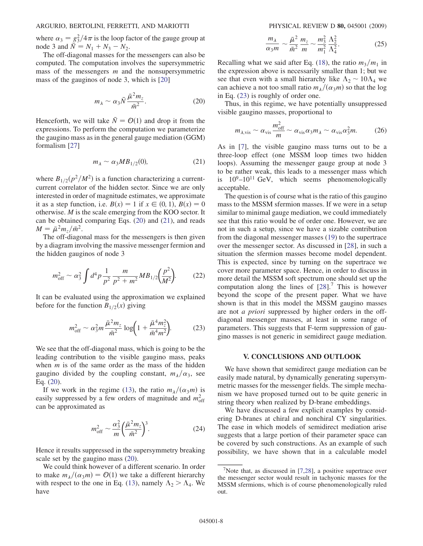where  $\alpha_3 = \frac{g_3^2}{4\pi}$  is the loop factor of the gauge group at node 3 and  $\overline{N} = N_1 + N_3 - N_2$ .

<span id="page-7-0"></span>The off-diagonal masses for the messengers can also be computed. The computation involves the supersymmetric mass of the messengers  $m$  and the nonsupersymmetric mass of the gauginos of node 3, which is [\[20\]](#page-8-18)

$$
m_{\lambda} \sim \alpha_3 \bar{N} \frac{\bar{\mu}^2 m_z}{\bar{m}^2}.
$$
 (20)

<span id="page-7-1"></span>Henceforth, we will take  $\overline{N} = \mathcal{O}(1)$  and drop it from the expressions. To perform the computation we parameterize the gaugino mass as in the general gauge mediation (GGM) formalism [[27](#page-9-1)]

$$
m_{\lambda} \sim \alpha_3 M B_{1/2}(0),\tag{21}
$$

where  $B_{1/2}(p^2/M^2)$  is a function characterizing a currentcurrent correlator of the hidden sector. Since we are only interested in order of magnitude estimates, we approximate it as a step function, i.e.  $B(x) = 1$  if  $x \in (0, 1)$ ,  $B(x) = 0$ otherwise. M is the scale emerging from the KOO sector. It can be obtained comparing Eqs. ([20](#page-7-0)) and [\(21\)](#page-7-1), and reads  $M = \bar{\mu}^2 m_z / \bar{m}^2$ .

The off-diagonal mass for the messengers is then given by a diagram involving the massive messenger fermion and the hidden gauginos of node 3

$$
m_{\text{off}}^2 \sim \alpha_3^2 \int d^4 p \frac{1}{p^2} \frac{m}{p^2 + m^2} M B_{1/2} \left(\frac{p^2}{M^2}\right). \tag{22}
$$

<span id="page-7-2"></span>It can be evaluated using the approximation we explained before for the function  $B_{1/2}(x)$  giving

$$
m_{\text{off}}^2 \sim \alpha_3^2 m \frac{\bar{\mu}^2 m_z}{\bar{m}^2} \log \bigg( 1 + \frac{\bar{\mu}^4 m_z^2}{\bar{m}^4 m^2} \bigg). \tag{23}
$$

We see that the off-diagonal mass, which is going to be the leading contribution to the visible gaugino mass, peaks when  $m$  is of the same order as the mass of the hidden gaugino divided by the coupling constant,  $m_{\lambda}/\alpha_3$ , see Eq. ([20](#page-7-0)).

If we work in the regime ([13](#page-5-3)), the ratio  $m_{\lambda}/(\alpha_3 m)$  is easily suppressed by a few orders of magnitude and  $m_{\text{off}}^2$ can be approximated as

$$
m_{\text{off}}^2 \sim \frac{\alpha_3^2}{m} \left(\frac{\bar{\mu}^2 m_z}{\bar{m}^2}\right)^3. \tag{24}
$$

Hence it results suppressed in the supersymmetry breaking scale set by the gaugino mass [\(20\)](#page-7-0).

We could think however of a different scenario. In order to make  $m_{\lambda}/(\alpha_3 m) = \mathcal{O}(1)$  we take a different hierarchy with respect to the one in Eq. [\(13\)](#page-5-3), namely  $\Lambda_2 > \Lambda_4$ . We have

$$
\frac{m_{\lambda}}{\alpha_3 m} \sim \frac{\bar{\mu}^2}{\bar{m}^2} \frac{m_z}{m} \sim \frac{m_3^2}{m_1^2} \frac{\Lambda_2^2}{\Lambda_4^2}.
$$
 (25)

Recalling what we said after Eq. ([18](#page-6-1)), the ratio  $m_3/m_1$  in the expression above is necessarily smaller than 1; but we see that even with a small hierarchy like  $\Lambda_2 \sim 10 \Lambda_4$  we can achieve a not too small ratio  $m_{\lambda}/(\alpha_3 m)$  so that the log in Eq. ([23](#page-7-2)) is roughly of order one.

Thus, in this regime, we have potentially unsuppressed visible gaugino masses, proportional to

$$
m_{\lambda,\text{vis}} \sim \alpha_{\text{vis}} \frac{m_{\text{off}}^2}{m} \sim \alpha_{\text{vis}} \alpha_3 m_\lambda \sim \alpha_{\text{vis}} \alpha_3^2 m. \tag{26}
$$

As in [[7\]](#page-8-6), the visible gaugino mass turns out to be a three-loop effect (one MSSM loop times two hidden loops). Assuming the messenger gauge group at node 3 to be rather weak, this leads to a messenger mass which is  $10^9-10^{11}$  GeV, which seems phenomenologically acceptable.

The question is of course what is the ratio of this gaugino mass to the MSSM sfermion masses. If we were in a setup similar to minimal gauge mediation, we could immediately see that this ratio would be of order one. However, we are not in such a setup, since we have a sizable contribution from the diagonal messenger masses [\(19\)](#page-6-2) to the supertrace over the messenger sector. As discussed in [\[28\]](#page-9-2), in such a situation the sfermion masses become model dependent. This is expected, since by turning on the supertrace we cover more parameter space. Hence, in order to discuss in more detail the MSSM soft spectrum one should set up the computation along the lines of  $[28]$ .<sup>7</sup> This is however beyond the scope of the present paper. What we have shown is that in this model the MSSM gaugino masses are not a priori suppressed by higher orders in the offdiagonal messenger masses, at least in some range of parameters. This suggests that F-term suppression of gaugino masses is not generic in semidirect gauge mediation.

## V. CONCLUSIONS AND OUTLOOK

We have shown that semidirect gauge mediation can be easily made natural, by dynamically generating supersymmetric masses for the messenger fields. The simple mechanism we have proposed turned out to be quite generic in string theory when realized by D-brane embeddings.

We have discussed a few explicit examples by considering D-branes at chiral and nonchiral CY singularities. The ease in which models of semidirect mediation arise suggests that a large portion of their parameter space can be covered by such constructions. As an example of such possibility, we have shown that in a calculable model

<sup>&</sup>lt;sup>7</sup>Note that, as discussed in [\[7](#page-8-6)[,28\]](#page-9-2), a positive supertrace over the messenger sector would result in tachyonic masses for the MSSM sfermions, which is of course phenomenologically ruled out.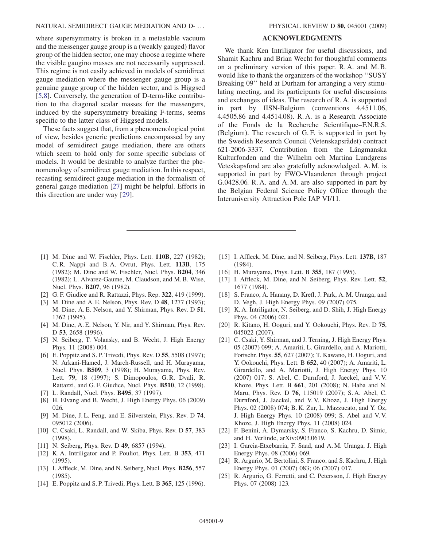## NATURAL SEMIDIRECT GAUGE MEDIATION AND D- ... PHYSICAL REVIEW D 80, 045001 (2009)

where supersymmetry is broken in a metastable vacuum and the messenger gauge group is a (weakly gauged) flavor group of the hidden sector, one may choose a regime where the visible gaugino masses are not necessarily suppressed. This regime is not easily achieved in models of semidirect gauge mediation where the messenger gauge group is a genuine gauge group of the hidden sector, and is Higgsed [\[5,](#page-8-4)[8](#page-8-7)]. Conversely, the generation of D-term-like contribution to the diagonal scalar masses for the messengers, induced by the supersymmetry breaking F-terms, seems specific to the latter class of Higgsed models.

These facts suggest that, from a phenomenological point of view, besides generic predictions encompassed by any model of semidirect gauge mediation, there are others which seem to hold only for some specific subclass of models. It would be desirable to analyze further the phenomenology of semidirect gauge mediation. In this respect, recasting semidirect gauge mediation in the formalism of general gauge mediation [\[27\]](#page-9-1) might be helpful. Efforts in this direction are under way [\[29\]](#page-9-3).

#### ACKNOWLEDGMENTS

We thank Ken Intriligator for useful discussions, and Shamit Kachru and Brian Wecht for thoughtful comments on a preliminary version of this paper. R. A. and M. B. would like to thank the organizers of the workshop ''SUSY Breaking 09" held at Durham for arranging a very stimulating meeting, and its participants for useful discussions and exchanges of ideas. The research of R. A. is supported in part by IISN-Belgium (conventions 4.4511.06, 4.4505.86 and 4.4514.08). R. A. is a Research Associate of the Fonds de la Recherche Scientifique–F.N.R.S. (Belgium). The research of G. F. is supported in part by the Swedish Research Council (Vetenskapsra˚det) contract  $621-2006-3337$ . Contribution from the Längmanska Kulturfonden and the Wilhelm och Martina Lundgrens Veteskapsfond are also gratefully acknowledged. A. M. is supported in part by FWO-Vlaanderen through project G.0428.06. R. A. and A. M. are also supported in part by the Belgian Federal Science Policy Office through the Interuniversity Attraction Pole IAP VI/11.

- <span id="page-8-0"></span>[1] M. Dine and W. Fischler, Phys. Lett. **110B**, 227 (1982); C. R. Nappi and B. A. Ovrut, Phys. Lett. 113B, 175 (1982); M. Dine and W. Fischler, Nucl. Phys. B204, 346 (1982); L. Alvarez-Gaume, M. Claudson, and M. B. Wise, Nucl. Phys. B207, 96 (1982).
- <span id="page-8-2"></span><span id="page-8-1"></span>[2] G. F. Giudice and R. Rattazzi, Phys. Rep. 322, 419 (1999).
- [3] M. Dine and A. E. Nelson, Phys. Rev. D 48, 1277 (1993); M. Dine, A. E. Nelson, and Y. Shirman, Phys. Rev. D 51, 1362 (1995).
- <span id="page-8-4"></span><span id="page-8-3"></span>[4] M. Dine, A. E. Nelson, Y. Nir, and Y. Shirman, Phys. Rev. D 53, 2658 (1996).
- <span id="page-8-5"></span>[5] N. Seiberg, T. Volansky, and B. Wecht, J. High Energy Phys. 11 (2008) 004.
- [6] E. Poppitz and S. P. Trivedi, Phys. Rev. D **55**, 5508 (1997); N. Arkani-Hamed, J. March-Russell, and H. Murayama, Nucl. Phys. B509, 3 (1998); H. Murayama, Phys. Rev. Lett. 79, 18 (1997); S. Dimopoulos, G. R. Dvali, R. Rattazzi, and G. F. Giudice, Nucl. Phys. B510, 12 (1998).
- <span id="page-8-7"></span><span id="page-8-6"></span>[7] L. Randall, Nucl. Phys. **B495**, 37 (1997).
- <span id="page-8-8"></span>[8] H. Elvang and B. Wecht, J. High Energy Phys. 06 (2009) 026.
- <span id="page-8-9"></span>[9] M. Dine, J. L. Feng, and E. Silverstein, Phys. Rev. D 74, 095012 (2006).
- <span id="page-8-10"></span>[10] C. Csaki, L. Randall, and W. Skiba, Phys. Rev. D 57, 383 (1998).
- <span id="page-8-11"></span>[11] N. Seiberg, Phys. Rev. D **49**, 6857 (1994).
- <span id="page-8-12"></span>[12] K. A. Intriligator and P. Pouliot, Phys. Lett. B 353, 471 (1995).
- <span id="page-8-13"></span>[13] I. Affleck, M. Dine, and N. Seiberg, Nucl. Phys. **B256**, 557 (1985).
- [14] E. Poppitz and S. P. Trivedi, Phys. Lett. B 365, 125 (1996).
- <span id="page-8-15"></span><span id="page-8-14"></span>[15] I. Affleck, M. Dine, and N. Seiberg, Phys. Lett. 137B, 187 (1984).
- <span id="page-8-16"></span>[16] H. Murayama, Phys. Lett. B 355, 187 (1995).
- <span id="page-8-20"></span>[17] I. Affleck, M. Dine, and N. Seiberg, Phys. Rev. Lett. 52, 1677 (1984).
- <span id="page-8-17"></span>[18] S. Franco, A. Hanany, D. Krefl, J. Park, A. M. Uranga, and D. Vegh, J. High Energy Phys. 09 (2007) 075.
- <span id="page-8-18"></span>[19] K. A. Intriligator, N. Seiberg, and D. Shih, J. High Energy Phys. 04 (2006) 021.
- <span id="page-8-19"></span>[20] R. Kitano, H. Ooguri, and Y. Ookouchi, Phys. Rev. D 75, 045022 (2007).
- [21] C. Csaki, Y. Shirman, and J. Terning, J. High Energy Phys. 05 (2007) 099; A. Amariti, L. Girardello, and A. Mariotti, Fortschr. Phys. 55, 627 (2007); T. Kawano, H. Ooguri, and Y. Ookouchi, Phys. Lett. B 652, 40 (2007); A. Amariti, L. Girardello, and A. Mariotti, J. High Energy Phys. 10 (2007) 017; S. Abel, C. Durnford, J. Jaeckel, and V. V. Khoze, Phys. Lett. B 661, 201 (2008); N. Haba and N. Maru, Phys. Rev. D 76, 115019 (2007); S. A. Abel, C. Durnford, J. Jaeckel, and V. V. Khoze, J. High Energy Phys. 02 (2008) 074; B. K. Zur, L. Mazzucato, and Y. Oz, J. High Energy Phys. 10 (2008) 099; S. Abel and V. V. Khoze, J. High Energy Phys. 11 (2008) 024.
- <span id="page-8-23"></span><span id="page-8-21"></span>[22] F. Benini, A. Dymarsky, S. Franco, S. Kachru, D. Simic, and H. Verlinde, arXiv:0903.0619.
- <span id="page-8-22"></span>[23] I. Garcia-Etxebarria, F. Saad, and A. M. Uranga, J. High Energy Phys. 08 (2006) 069.
- <span id="page-8-24"></span>[24] R. Argurio, M. Bertolini, S. Franco, and S. Kachru, J. High Energy Phys. 01 (2007) 083; 06 (2007) 017.
- [25] R. Argurio, G. Ferretti, and C. Petersson, J. High Energy Phys. 07 (2008) 123.